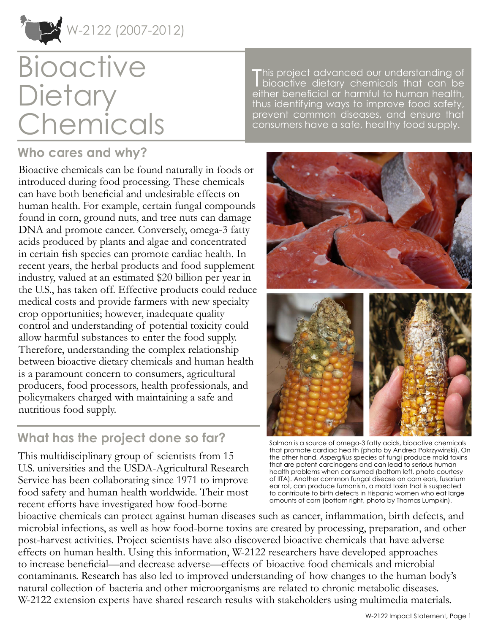

# **Bioactive Dietary** Chemicals

## **Who cares and why?**

Bioactive chemicals can be found naturally in foods or introduced during food processing. These chemicals can have both beneficial and undesirable effects on human health. For example, certain fungal compounds found in corn, ground nuts, and tree nuts can damage DNA and promote cancer. Conversely, omega-3 fatty acids produced by plants and algae and concentrated in certain fish species can promote cardiac health. In recent years, the herbal products and food supplement industry, valued at an estimated \$20 billion per year in the U.S., has taken off. Effective products could reduce medical costs and provide farmers with new specialty crop opportunities; however, inadequate quality control and understanding of potential toxicity could allow harmful substances to enter the food supply. Therefore, understanding the complex relationship between bioactive dietary chemicals and human health is a paramount concern to consumers, agricultural producers, food processors, health professionals, and policymakers charged with maintaining a safe and nutritious food supply.

## **What has the project done so far?**

This multidisciplinary group of scientists from 15 U.S. universities and the USDA-Agricultural Research Service has been collaborating since 1971 to improve food safety and human health worldwide. Their most recent efforts have investigated how food-borne

This project advanced our understanding of<br>bioactive dietary chemicals that can be This project advanced our understanding of either beneficial or harmful to human health, thus identifying ways to improve food safety, prevent common diseases, and ensure that consumers have a safe, healthy food supply.



Salmon is a source of omega-3 fatty acids, bioactive chemicals that promote cardiac health (photo by Andrea Pokrzywinski). On the other hand, *Aspergillus* species of fungi produce mold toxins that are potent carcinogens and can lead to serious human health problems when consumed (bottom left, photo courtesy of IITA). Another common fungal disease on corn ears, fusarium ear rot, can produce fumonisin, a mold toxin that is suspected to contribute to birth defects in Hispanic women who eat large amounts of corn (bottom right, photo by Thomas Lumpkin).

bioactive chemicals can protect against human diseases such as cancer, inflammation, birth defects, and microbial infections, as well as how food-borne toxins are created by processing, preparation, and other post-harvest activities. Project scientists have also discovered bioactive chemicals that have adverse effects on human health. Using this information, W-2122 researchers have developed approaches to increase beneficial—and decrease adverse—effects of bioactive food chemicals and microbial contaminants. Research has also led to improved understanding of how changes to the human body's natural collection of bacteria and other microorganisms are related to chronic metabolic diseases. W-2122 extension experts have shared research results with stakeholders using multimedia materials.